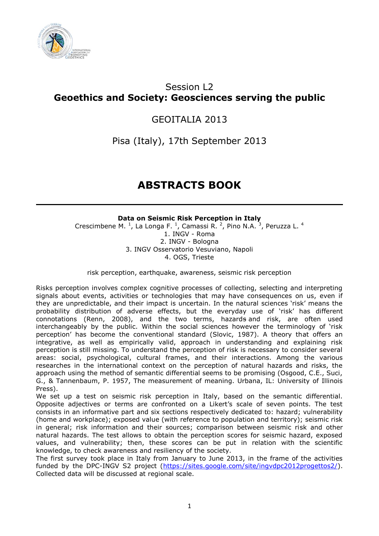

# Session L2 **Geoethics and Society: Geosciences serving the public**

## GEOITALIA 2013

Pisa (Italy), 17th September 2013

# **ABSTRACTS BOOK**

## **Data on Seismic Risk Perception in Italy**

Crescimbene M.  $^{1}$ , La Longa F.  $^{1}$ , Camassi R.  $^{2}$ , Pino N.A.  $^{3}$ , Peruzza L.  $^{4}$ 1. INGV - Roma 2. INGV - Bologna 3. INGV Osservatorio Vesuviano, Napoli 4. OGS, Trieste

risk perception, earthquake, awareness, seismic risk perception

Risks perception involves complex cognitive processes of collecting, selecting and interpreting signals about events, activities or technologies that may have consequences on us, even if they are unpredictable, and their impact is uncertain. In the natural sciences 'risk' means the probability distribution of adverse effects, but the everyday use of 'risk' has different connotations (Renn, 2008), and the two terms, hazards and risk, are often used interchangeably by the public. Within the social sciences however the terminology of 'risk perception' has become the conventional standard (Slovic, 1987). A theory that offers an integrative, as well as empirically valid, approach in understanding and explaining risk perception is still missing. To understand the perception of risk is necessary to consider several areas: social, psychological, cultural frames, and their interactions. Among the various researches in the international context on the perception of natural hazards and risks, the approach using the method of semantic differential seems to be promising (Osgood, C.E., Suci, G., & Tannenbaum, P. 1957, The measurement of meaning. Urbana, IL: University of Illinois Press).

We set up a test on seismic risk perception in Italy, based on the semantic differential. Opposite adjectives or terms are confronted on a Likert's scale of seven points. The test consists in an informative part and six sections respectively dedicated to: hazard; vulnerability (home and workplace); exposed value (with reference to population and territory); seismic risk in general; risk information and their sources; comparison between seismic risk and other natural hazards. The test allows to obtain the perception scores for seismic hazard, exposed values, and vulnerability; then, these scores can be put in relation with the scientific knowledge, to check awareness and resiliency of the society.

The first survey took place in Italy from January to June 2013, in the frame of the activities funded by the DPC-INGV S2 project [\(https://sites.google.com/site/ingvdpc2012progettos2/\)](https://sites.google.com/site/ingvdpc2012progettos2/). Collected data will be discussed at regional scale.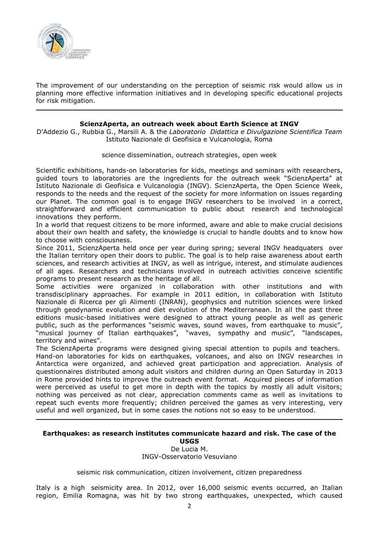

The improvement of our understanding on the perception of seismic risk would allow us in planning more effective information initiatives and in developing specific educational projects for risk mitigation.

#### **ScienzAperta, an outreach week about Earth Science at INGV**

D'Addezio G., Rubbia G., Marsili A. & the *Laboratorio Didattica e Divulgazione Scientifica Team* Istituto Nazionale di Geofisica e Vulcanologia, Roma

science dissemination, outreach strategies, open week

Scientific exhibitions, hands-on laboratories for kids, meetings and seminars with researchers, guided tours to laboratories are the ingredients for the outreach week "ScienzAperta" at Istituto Nazionale di Geofisica e Vulcanologia (INGV). ScienzAperta, the Open Science Week, responds to the needs and the request of the society for more information on issues regarding our Planet. The common goal is to engage INGV researchers to be involved in a correct, straightforward and efficient communication to public about research and technological innovations they perform.

In a world that request citizens to be more informed, aware and able to make crucial decisions about their own health and safety, the knowledge is crucial to handle doubts and to know how to choose with consciousness.

Since 2011, ScienzAperta held once per year during spring; several INGV headquaters over the Italian territory open their doors to public. The goal is to help raise awareness about earth sciences, and research activities at INGV, as well as intrigue, interest, and stimulate audiences of all ages. Researchers and technicians involved in outreach activities conceive scientific programs to present research as the heritage of all.

Some activities were organized in collaboration with other institutions and with transdisciplinary approaches. For example in 2011 edition, in collaboration with Istituto Nazionale di Ricerca per gli Alimenti (INRAN), geophysics and nutrition sciences were linked through geodynamic evolution and diet evolution of the Mediterranean. In all the past three editions music-based initiatives were designed to attract young people as well as generic public, such as the performances "seismic waves, sound waves, from earthquake to music", "musical journey of Italian earthquakes", "waves, sympathy and music", "landscapes, territory and wines".

The ScienzAperta programs were designed giving special attention to pupils and teachers. Hand-on laboratories for kids on earthquakes, volcanoes, and also on INGV researches in Antarctica were organized, and achieved great participation and appreciation. Analysis of questionnaires distributed among adult visitors and children during an Open Saturday in 2013 in Rome provided hints to improve the outreach event format. Acquired pieces of information were perceived as useful to get more in depth with the topics by mostly all adult visitors; nothing was perceived as not clear, appreciation comments came as well as invitations to repeat such events more frequently; children perceived the games as very interesting, very useful and well organized, but in some cases the notions not so easy to be understood.

#### **Earthquakes: as research institutes communicate hazard and risk. The case of the USGS**

De Lucia M. INGV-Osservatorio Vesuviano

seismic risk communication, citizen involvement, citizen preparedness

Italy is a high seismicity area. In 2012, over 16,000 seismic events occurred, an Italian region, Emilia Romagna, was hit by two strong earthquakes, unexpected, which caused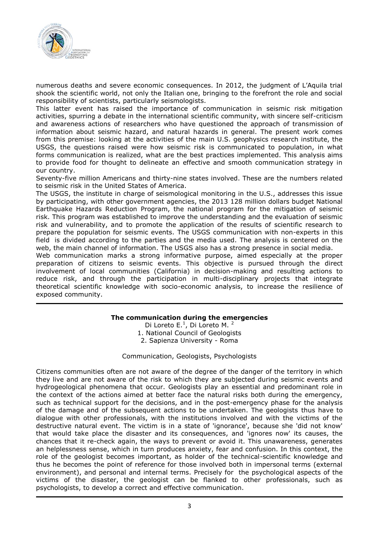

numerous deaths and severe economic consequences. In 2012, the judgment of L'Aquila trial shook the scientific world, not only the Italian one, bringing to the forefront the role and social responsibility of scientists, particularly seismologists.

This latter event has raised the importance of communication in seismic risk mitigation activities, spurring a debate in the international scientific community, with sincere self-criticism and awareness actions of researchers who have questioned the approach of transmission of information about seismic hazard, and natural hazards in general. The present work comes from this premise: looking at the activities of the main U.S. geophysics research institute, the USGS, the questions raised were how seismic risk is communicated to population, in what forms communication is realized, what are the best practices implemented. This analysis aims to provide food for thought to delineate an effective and smooth communication strategy in our country.

Seventy-five million Americans and thirty-nine states involved. These are the numbers related to seismic risk in the United States of America.

The USGS, the institute in charge of seismological monitoring in the U.S., addresses this issue by participating, with other government agencies, the 2013 128 million dollars budget National Earthquake Hazards Reduction Program, the national program for the mitigation of seismic risk. This program was established to improve the understanding and the evaluation of seismic risk and vulnerability, and to promote the application of the results of scientific research to prepare the population for seismic events. The USGS communication with non-experts in this field is divided according to the parties and the media used. The analysis is centered on the web, the main channel of information. The USGS also has a strong presence in social media.

Web communication marks a strong informative purpose, aimed especially at the proper preparation of citizens to seismic events. This objective is pursued through the direct involvement of local communities (California) in decision-making and resulting actions to reduce risk, and through the participation in multi-disciplinary projects that integrate theoretical scientific knowledge with socio-economic analysis, to increase the resilience of exposed community.

## **The communication during the emergencies**

Di Loreto E.<sup>1</sup>, Di Loreto M.<sup>2</sup> 1. National Council of Geologists 2. Sapienza University - Roma

Communication, Geologists, Psychologists

Citizens communities often are not aware of the degree of the danger of the territory in which they live and are not aware of the risk to which they are subjected during seismic events and hydrogeological phenomena that occur. Geologists play an essential and predominant role in the context of the actions aimed at better face the natural risks both during the emergency, such as technical support for the decisions, and in the post-emergency phase for the analysis of the damage and of the subsequent actions to be undertaken. The geologists thus have to dialogue with other professionals, with the institutions involved and with the victims of the destructive natural event. The victim is in a state of 'ignorance', because she 'did not know' that would take place the disaster and its consequences, and 'ignores now' its causes, the chances that it re-check again, the ways to prevent or avoid it. This unawareness, generates an helplessness sense, which in turn produces anxiety, fear and confusion. In this context, the role of the geologist becomes important, as holder of the technical-scientific knowledge and thus he becomes the point of reference for those involved both in impersonal terms (external environment), and personal and internal terms. Precisely for the psychological aspects of the victims of the disaster, the geologist can be flanked to other professionals, such as psychologists, to develop a correct and effective communication.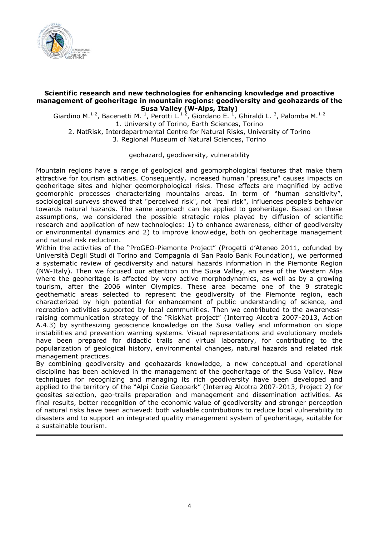

#### **Scientific research and new technologies for enhancing knowledge and proactive management of geoheritage in mountain regions: geodiversity and geohazards of the Susa Valley (W-Alps, Italy)**

Giardino M.<sup>1-2</sup>, Bacenetti M.<sup>1</sup>, Perotti L.<sup>1-2</sup>, Giordano E.<sup>1</sup>, Ghiraldi L.<sup>3</sup>, Palomba M.<sup>1-2</sup> 1. University of Torino, Earth Sciences, Torino

2. NatRisk, Interdepartmental Centre for Natural Risks, University of Torino 3. Regional Museum of Natural Sciences, Torino

#### geohazard, geodiversity, vulnerability

Mountain regions have a range of geological and geomorphological features that make them attractive for tourism activities. Consequently, increased human "pressure" causes impacts on geoheritage sites and higher geomorphological risks. These effects are magnified by active geomorphic processes characterizing mountains areas. In term of "human sensitivity", sociological surveys showed that "perceived risk", not "real risk", influences people's behavior towards natural hazards. The same approach can be applied to geoheritage. Based on these assumptions, we considered the possible strategic roles played by diffusion of scientific research and application of new technologies: 1) to enhance awareness, either of geodiversity or environmental dynamics and 2) to improve knowledge, both on geoheritage management and natural risk reduction.

Within the activities of the "ProGEO-Piemonte Project" (Progetti d'Ateneo 2011, cofunded by Università Degli Studi di Torino and Compagnia di San Paolo Bank Foundation), we performed a systematic review of geodiversity and natural hazards information in the Piemonte Region (NW-Italy). Then we focused our attention on the Susa Valley, an area of the Western Alps where the geoheritage is affected by very active morphodynamics, as well as by a growing tourism, after the 2006 winter Olympics. These area became one of the 9 strategic geothematic areas selected to represent the geodiversity of the Piemonte region, each characterized by high potential for enhancement of public understanding of science, and recreation activities supported by local communities. Then we contributed to the awarenessraising communication strategy of the "RiskNat project" (Interreg Alcotra 2007-2013, Action A.4.3) by synthesizing geoscience knowledge on the Susa Valley and information on slope instabilities and prevention warning systems. Visual representations and evolutionary models have been prepared for didactic trails and virtual laboratory, for contributing to the popularization of geological history, environmental changes, natural hazards and related risk management practices.

By combining geodiversity and geohazards knowledge, a new conceptual and operational discipline has been achieved in the management of the geoheritage of the Susa Valley. New techniques for recognizing and managing its rich geodiversity have been developed and applied to the territory of the "Alpi Cozie Geopark" (Interreg Alcotra 2007-2013, Project 2) for geosites selection, geo-trails preparation and management and dissemination activities. As final results, better recognition of the economic value of geodiversity and stronger perception of natural risks have been achieved: both valuable contributions to reduce local vulnerability to disasters and to support an integrated quality management system of geoheritage, suitable for a sustainable tourism.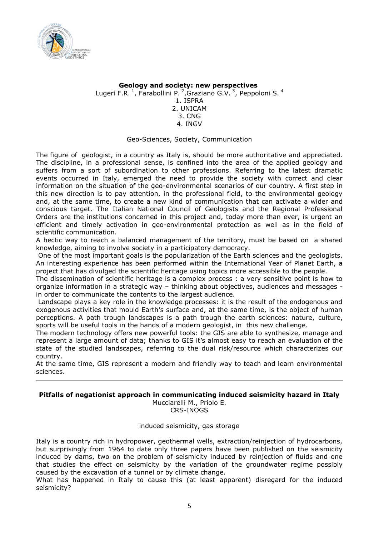

## **Geology and society: new perspectives** Lugeri F.R.<sup>1</sup>, Farabollini P.<sup>2</sup>, Graziano G.V.<sup>3</sup>, Peppoloni S.<sup>4</sup> 1. ISPRA 2. UNICAM 3. CNG 4. INGV

#### Geo-Sciences, Society, Communication

The figure of geologist, in a country as Italy is, should be more authoritative and appreciated. The discipline, in a professional sense, is confined into the area of the applied geology and suffers from a sort of subordination to other professions. Referring to the latest dramatic events occurred in Italy, emerged the need to provide the society with correct and clear information on the situation of the geo-environmental scenarios of our country. A first step in this new direction is to pay attention, in the professional field, to the environmental geology and, at the same time, to create a new kind of communication that can activate a wider and conscious target. The Italian National Council of Geologists and the Regional Professional Orders are the institutions concerned in this project and, today more than ever, is urgent an efficient and timely activation in geo-environmental protection as well as in the field of scientific communication.

A hectic way to reach a balanced management of the territory, must be based on a shared knowledge, aiming to involve society in a participatory democracy.

One of the most important goals is the popularization of the Earth sciences and the geologists. An interesting experience has been performed within the International Year of Planet Earth, a project that has divulged the scientific heritage using topics more accessible to the people.

The dissemination of scientific heritage is a complex process : a very sensitive point is how to organize information in a strategic way – thinking about objectives, audiences and messages in order to communicate the contents to the largest audience.

Landscape plays a key role in the knowledge processes: it is the result of the endogenous and exogenous activities that mould Earth's surface and, at the same time, is the object of human perceptions. A path trough landscapes is a path trough the earth sciences: nature, culture, sports will be useful tools in the hands of a modern geologist, in this new challenge.

The modern technology offers new powerful tools: the GIS are able to synthesize, manage and represent a large amount of data; thanks to GIS it's almost easy to reach an evaluation of the state of the studied landscapes, referring to the dual risk/resource which characterizes our country.

At the same time, GIS represent a modern and friendly way to teach and learn environmental sciences.

## **Pitfalls of negationist approach in communicating induced seismicity hazard in Italy**

Mucciarelli M., Priolo E. CRS-INOGS

induced seismicity, gas storage

Italy is a country rich in hydropower, geothermal wells, extraction/reinjection of hydrocarbons, but surprisingly from 1964 to date only three papers have been published on the seismicity induced by dams, two on the problem of seismicity induced by reinjection of fluids and one that studies the effect on seismicity by the variation of the groundwater regime possibly caused by the excavation of a tunnel or by climate change.

What has happened in Italy to cause this (at least apparent) disregard for the induced seismicity?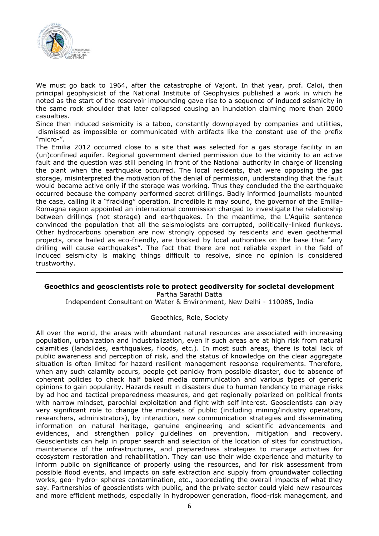

We must go back to 1964, after the catastrophe of Vajont. In that year, prof. Caloi, then principal geophysicist of the National Institute of Geophysics published a work in which he noted as the start of the reservoir impounding gave rise to a sequence of induced seismicity in the same rock shoulder that later collapsed causing an inundation claiming more than 2000 casualties.

Since then induced seismicity is a taboo, constantly downplayed by companies and utilities, dismissed as impossible or communicated with artifacts like the constant use of the prefix "micro-".

The Emilia 2012 occurred close to a site that was selected for a gas storage facility in an (un)confined aquifer. Regional government denied permission due to the vicinity to an active fault and the question was still pending in front of the National authority in charge of licensing the plant when the earthquake occurred. The local residents, that were opposing the gas storage, misinterpreted the motivation of the denial of permission, understanding that the fault would became active only if the storage was working. Thus they concluded the the earthquake occurred because the company performed secret drillings. Badly informed journalists mounted the case, calling it a "fracking" operation. Incredible it may sound, the governor of the Emilia-Romagna region appointed an international commission charged to investigate the relationship between drillings (not storage) and earthquakes. In the meantime, the L'Aquila sentence convinced the population that all the seismologists are corrupted, politically-linked flunkeys. Other hydrocarbons operation are now strongly opposed by residents and even geothermal projects, once hailed as eco-friendly, are blocked by local authorities on the base that "any drilling will cause earthquakes". The fact that there are not reliable expert in the field of induced seismicity is making things difficult to resolve, since no opinion is considered trustworthy.

#### **Geoethics and geoscientists role to protect geodiversity for societal development** Partha Sarathi Datta

Independent Consultant on Water & Environment, New Delhi - 110085, India

Geoethics, Role, Society

All over the world, the areas with abundant natural resources are associated with increasing population, urbanization and industrialization, even if such areas are at high risk from natural calamities (landslides, earthquakes, floods, etc.). In most such areas, there is total lack of public awareness and perception of risk, and the status of knowledge on the clear aggregate situation is often limited for hazard resilient management response requirements. Therefore, when any such calamity occurs, people get panicky from possible disaster, due to absence of coherent policies to check half baked media communication and various types of generic opinions to gain popularity. Hazards result in disasters due to human tendency to manage risks by ad hoc and tactical preparedness measures, and get regionally polarized on political fronts with narrow mindset, parochial exploitation and fight with self interest. Geoscientists can play very significant role to change the mindsets of public (including mining/industry operators, researchers, administrators), by interaction, new communication strategies and disseminating information on natural heritage, genuine engineering and scientific advancements and evidences, and strengthen policy guidelines on prevention, mitigation and recovery. Geoscientists can help in proper search and selection of the location of sites for construction, maintenance of the infrastructures, and preparedness strategies to manage activities for ecosystem restoration and rehabilitation. They can use their wide experience and maturity to inform public on significance of properly using the resources, and for risk assessment from possible flood events, and impacts on safe extraction and supply from groundwater collecting works, geo- hydro- spheres contamination, etc., appreciating the overall impacts of what they say. Partnerships of geoscientists with public, and the private sector could yield new resources and more efficient methods, especially in hydropower generation, flood-risk management, and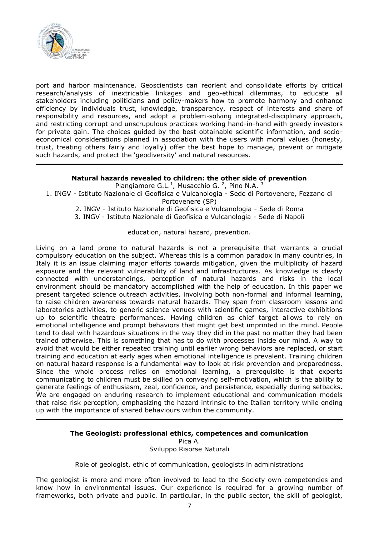

port and harbor maintenance. Geoscientists can reorient and consolidate efforts by critical research/analysis of inextricable linkages and geo-ethical dilemmas, to educate all stakeholders including politicians and policy-makers how to promote harmony and enhance efficiency by individuals trust, knowledge, transparency, respect of interests and share of responsibility and resources, and adopt a problem-solving integrated-disciplinary approach, and restricting corrupt and unscrupulous practices working hand-in-hand with greedy investors for private gain. The choices guided by the best obtainable scientific information, and socioeconomical considerations planned in association with the users with moral values (honesty, trust, treating others fairly and loyally) offer the best hope to manage, prevent or mitigate such hazards, and protect the 'geodiversity' and natural resources.

## **Natural hazards revealed to children: the other side of prevention**

Piangiamore G.L.<sup>1</sup>, Musacchio G.<sup>2</sup>, Pino N.A.<sup>3</sup>

#### 1. INGV - Istituto Nazionale di Geofisica e Vulcanologia - Sede di Portovenere, Fezzano di Portovenere (SP)

- 2. INGV Istituto Nazionale di Geofisica e Vulcanologia Sede di Roma
- 3. INGV Istituto Nazionale di Geofisica e Vulcanologia Sede di Napoli

education, natural hazard, prevention.

Living on a land prone to natural hazards is not a prerequisite that warrants a crucial compulsory education on the subject. Whereas this is a common paradox in many countries, in Italy it is an issue claiming major efforts towards mitigation, given the multiplicity of hazard exposure and the relevant vulnerability of land and infrastructures. As knowledge is clearly connected with understandings, perception of natural hazards and risks in the local environment should be mandatory accomplished with the help of education. In this paper we present targeted science outreach activities, involving both non-formal and informal learning, to raise children awareness towards natural hazards. They span from classroom lessons and laboratories activities, to generic science venues with scientific games, interactive exhibitions up to scientific theatre performances. Having children as chief target allows to rely on emotional intelligence and prompt behaviors that might get best imprinted in the mind. People tend to deal with hazardous situations in the way they did in the past no matter they had been trained otherwise. This is something that has to do with processes inside our mind. A way to avoid that would be either repeated training until earlier wrong behaviors are replaced, or start training and education at early ages when emotional intelligence is prevalent. Training children on natural hazard response is a fundamental way to look at risk prevention and preparedness. Since the whole process relies on emotional learning, a prerequisite is that experts communicating to children must be skilled on conveying self-motivation, which is the ability to generate feelings of enthusiasm, zeal, confidence, and persistence, especially during setbacks. We are engaged on enduring research to implement educational and communication models that raise risk perception, emphasizing the hazard intrinsic to the Italian territory while ending up with the importance of shared behaviours within the community.

## **The Geologist: professional ethics, competences and comunication**

Pica A.

Sviluppo Risorse Naturali

Role of geologist, ethic of communication, geologists in administrations

The geologist is more and more often involved to lead to the Society own competencies and know how in environmental issues. Our experience is required for a growing number of frameworks, both private and public. In particular, in the public sector, the skill of geologist,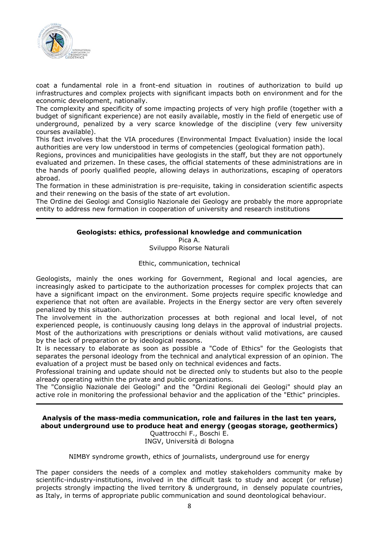

coat a fundamental role in a front-end situation in routines of authorization to build up infrastructures and complex projects with significant impacts both on environment and for the economic development, nationally.

The complexity and specificity of some impacting projects of very high profile (together with a budget of significant experience) are not easily available, mostly in the field of energetic use of underground, penalized by a very scarce knowledge of the discipline (very few university courses available).

This fact involves that the VIA procedures (Environmental Impact Evaluation) inside the local authorities are very low understood in terms of competencies (geological formation path).

Regions, provinces and municipalities have geologists in the staff, but they are not opportunely evaluated and prizemen. In these cases, the official statements of these administrations are in the hands of poorly qualified people, allowing delays in authorizations, escaping of operators abroad.

The formation in these administration is pre-requisite, taking in consideration scientific aspects and their renewing on the basis of the state of art evolution.

The Ordine dei Geologi and Consiglio Nazionale dei Geology are probably the more appropriate entity to address new formation in cooperation of university and research institutions

## **Geologists: ethics, professional knowledge and communication**

Pica A.

Sviluppo Risorse Naturali

#### Ethic, communication, technical

Geologists, mainly the ones working for Government, Regional and local agencies, are increasingly asked to participate to the authorization processes for complex projects that can have a significant impact on the environment. Some projects require specific knowledge and experience that not often are available. Projects in the Energy sector are very often severely penalized by this situation.

The involvement in the authorization processes at both regional and local level, of not experienced people, is continuously causing long delays in the approval of industrial projects. Most of the authorizations with prescriptions or denials without valid motivations, are caused by the lack of preparation or by ideological reasons.

It is necessary to elaborate as soon as possible a "Code of Ethics" for the Geologists that separates the personal ideology from the technical and analytical expression of an opinion. The evaluation of a project must be based only on technical evidences and facts.

Professional training and update should not be directed only to students but also to the people already operating within the private and public organizations.

The "Consiglio Nazionale dei Geologi" and the "Ordini Regionali dei Geologi" should play an active role in monitoring the professional behavior and the application of the "Ethic" principles.

## **Analysis of the mass-media communication, role and failures in the last ten years, about underground use to produce heat and energy (geogas storage, geothermics)**

Quattrocchi F., Boschi E. INGV, Università di Bologna

#### NIMBY syndrome growth, ethics of journalists, underground use for energy

The paper considers the needs of a complex and motley stakeholders community make by scientific-industry-institutions, involved in the difficult task to study and accept (or refuse) projects strongly impacting the lived territory & underground, in densely populate countries, as Italy, in terms of appropriate public communication and sound deontological behaviour.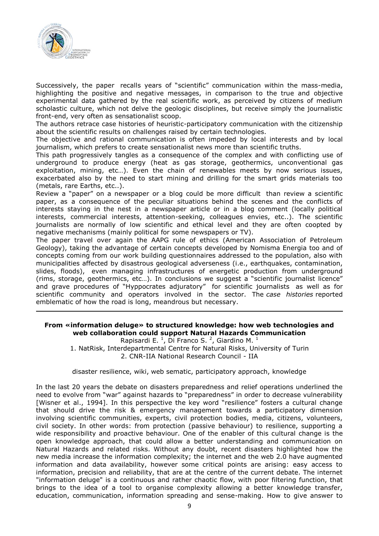

Successively, the paper recalls years of "scientific" communication within the mass-media, highlighting the positive and negative messages, in comparison to the true and objective experimental data gathered by the real scientific work, as perceived by citizens of medium scholastic culture, which not delve the geologic disciplines, but receive simply the journalistic front-end, very often as sensationalist scoop.

The authors retrace case histories of heuristic-participatory communication with the citizenship about the scientific results on challenges raised by certain technologies.

The objective and rational communication is often impeded by local interests and by local journalism, which prefers to create sensationalist news more than scientific truths.

This path progressively tangles as a consequence of the complex and with conflicting use of underground to produce energy (heat as gas storage, geothermics, unconventional gas exploitation, mining, etc…). Even the chain of renewables meets by now serious issues, exacerbated also by the need to start mining and drilling for the smart grids materials too (metals, rare Earths, etc..).

Review a "paper" on a newspaper or a blog could be more difficult than review a scientific paper, as a consequence of the peculiar situations behind the scenes and the conflicts of interests staying in the nest in a newspaper article or in a blog comment (locally political interests, commercial interests, attention-seeking, colleagues envies, etc..). The scientific journalists are normally of low scientific and ethical level and they are often coopted by negative mechanisms (mainly political for some newspapers or TV).

The paper travel over again the AAPG rule of ethics (American Association of Petroleum Geology), taking the advantage of certain concepts developed by Nomisma Energia too and of concepts coming from our work building questionnaires addressed to the population, also with municipalities affected by disastrous geological adverseness (i.e., earthquakes, contamination, slides, floods), even managing infrastructures of energetic production from underground (rims, storage, geothermics, etc…). In conclusions we suggest a "scientific journalist licence" and grave procedures of "Hyppocrates adjuratory" for scientific journalists as well as for scientific community and operators involved in the sector. The *case histories* reported emblematic of how the road is long, meandrous but necessary.

#### **From «information deluge» to structured knowledge: how web technologies and web collaboration could support Natural Hazards Communication**

Rapisardi E.<sup>1</sup>, Di Franco S.<sup>2</sup>, Giardino M.<sup>1</sup> 1. NatRisk, Interdepartmental Centre for Natural Risks, University of Turin 2. CNR-IIA National Research Council - IIA

disaster resilience, wiki, web sematic, participatory approach, knowledge

In the last 20 years the debate on disasters preparedness and relief operations underlined the need to evolve from "war" against hazards to "preparedness" in order to decrease vulnerability [Wisner et al., 1994]. In this perspective the key word "resilience" fosters a cultural change that should drive the risk & emergency management towards a participatory dimension involving scientific communities, experts, civil protection bodies, media, citizens, volunteers, civil society. In other words: from protection (passive behaviour) to resilience, supporting a wide responsibility and proactive behaviour. One of the enabler of this cultural change is the open knowledge approach, that could allow a better understanding and communication on Natural Hazards and related risks. Without any doubt, recent disasters highlighted how the new media increase the information complexity; the internet and the web 2.0 have augmented information and data availability, however some critical points are arising: easy access to information, precision and reliability, that are at the centre of the current debate. The internet "information deluge" is a continuous and rather chaotic flow, with poor filtering function, that brings to the idea of a tool to organise complexity allowing a better knowledge transfer, education, communication, information spreading and sense-making. How to give answer to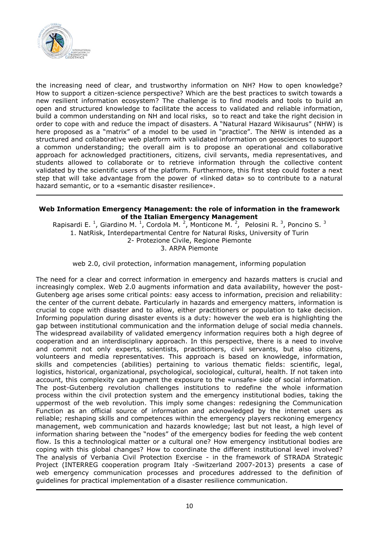

the increasing need of clear, and trustworthy information on NH? How to open knowledge? How to support a citizen-science perspective? Which are the best practices to switch towards a new resilient information ecosystem? The challenge is to find models and tools to build an open and structured knowledge to facilitate the access to validated and reliable information, build a common understanding on NH and local risks, so to react and take the right decision in order to cope with and reduce the impact of disasters. A "Natural Hazard Wikisaurus" (NHW) is here proposed as a "matrix" of a model to be used in "practice". The NHW is intended as a structured and collaborative web platform with validated information on geosciences to support a common understanding; the overall aim is to propose an operational and collaborative approach for acknowledged practitioners, citizens, civil servants, media representatives, and students allowed to collaborate or to retrieve information through the collective content validated by the scientific users of the platform. Furthermore, this first step could foster a next step that will take advantage from the power of «linked data» so to contribute to a natural hazard semantic, or to a «semantic disaster resilience».

#### **Web Information Emergency Management: the role of information in the framework of the Italian Emergency Management**

Rapisardi E.<sup>1</sup>, Giardino M.<sup>1</sup>, Cordola M.<sup>2</sup>, Monticone M.<sup>2</sup>, Pelosini R.<sup>3</sup>, Poncino S.<sup>3</sup> 1. NatRisk, Interdepartmental Centre for Natural Risks, University of Turin 2- Protezione Civile, Regione Piemonte 3. ARPA Piemonte

web 2.0, civil protection, information management, informing population

The need for a clear and correct information in emergency and hazards matters is crucial and increasingly complex. Web 2.0 augments information and data availability, however the post-Gutenberg age arises some critical points: easy access to information, precision and reliability: the center of the current debate. Particularly in hazards and emergency matters, information is crucial to cope with disaster and to allow, either practitioners or population to take decision. Informing population during disaster events is a duty: however the web era is highlighting the gap between institutional communication and the information deluge of social media channels. The widespread availability of validated emergency information requires both a high degree of cooperation and an interdisciplinary approach. In this perspective, there is a need to involve and commit not only experts, scientists, practitioners, civil servants, but also citizens, volunteers and media representatives. This approach is based on knowledge, information, skills and competencies (abilities) pertaining to various thematic fields: scientific, legal, logistics, historical, organizational, psychological, sociological, cultural, health. If not taken into account, this complexity can augment the exposure to the «unsafe» side of social information. The post-Gutenberg revolution challenges institutions to redefine the whole information process within the civil protection system and the emergency institutional bodies, taking the uppermost of the web revolution. This imply some changes: redesigning the Communication Function as an official source of information and acknowledged by the internet users as reliable; reshaping skills and competences within the emergency players reckoning emergency management, web communication and hazards knowledge; last but not least, a high level of information sharing between the "nodes" of the emergency bodies for feeding the web content flow. Is this a technological matter or a cultural one? How emergency institutional bodies are coping with this global changes? How to coordinate the different institutional level involved? The analysis of Verbania Civil Protection Exercise - in the framework of STRADA Strategic Project (INTERREG cooperation program Italy -Switzerland 2007-2013) presents a case of web emergency communication processes and procedures addressed to the definition of guidelines for practical implementation of a disaster resilience communication.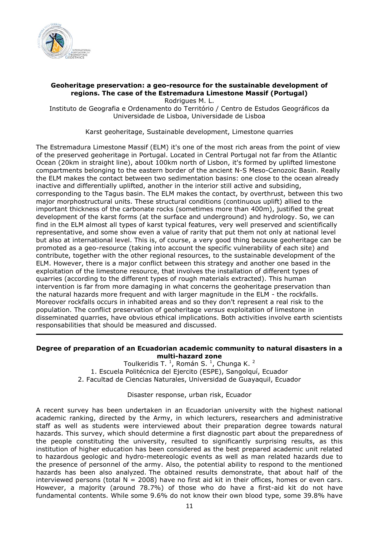

## **Geoheritage preservation: a geo-resource for the sustainable development of regions. The case of the Estremadura Limestone Massif (Portugal)**

Rodrigues M. L.

Instituto de Geografia e Ordenamento do Território / Centro de Estudos Geográficos da Universidade de Lisboa, Universidade de Lisboa

Karst geoheritage, Sustainable development, Limestone quarries

The Estremadura Limestone Massif (ELM) it's one of the most rich areas from the point of view of the preserved geoheritage in Portugal. Located in Central Portugal not far from the Atlantic Ocean (20km in straight line), about 100km north of Lisbon, it's formed by uplifted limestone compartments belonging to the eastern border of the ancient N-S Meso-Cenozoic Basin. Really the ELM makes the contact between two sedimentation basins: one close to the ocean already inactive and differentially uplifted, another in the interior still active and subsiding, corresponding to the Tagus basin. The ELM makes the contact, by overthrust, between this two major morphostructural units. These structural conditions (continuous uplift) allied to the important thickness of the carbonate rocks (sometimes more than 400m), justified the great development of the karst forms (at the surface and underground) and hydrology. So, we can find in the ELM almost all types of karst typical features, very well preserved and scientifically representative, and some show even a value of rarity that put them not only at national level but also at international level. This is, of course, a very good thing because geoheritage can be promoted as a geo-resource (taking into account the specific vulnerability of each site) and contribute, together with the other regional resources, to the sustainable development of the ELM. However, there is a major conflict between this strategy and another one based in the exploitation of the limestone resource, that involves the installation of different types of quarries (according to the different types of rough materials extracted). This human intervention is far from more damaging in what concerns the geoheritage preservation than the natural hazards more frequent and with larger magnitude in the ELM - the rockfalls. Moreover rockfalls occurs in inhabited areas and so they don't represent a real risk to the population. The conflict preservation of geoheritage *versus* exploitation of limestone in disseminated quarries, have obvious ethical implications. Both activities involve earth scientists responsabilities that should be measured and discussed.

#### **Degree of preparation of an Ecuadorian academic community to natural disasters in a multi-hazard zone**

Toulkeridis T.  $^1$ , Román S.  $^1$ , Chunga K.  $^2$ 1. Escuela Politécnica del Ejercito (ESPE), Sangolquí, Ecuador 2. Facultad de Ciencias Naturales, Universidad de Guayaquil, Ecuador

## Disaster response, urban risk, Ecuador

A recent survey has been undertaken in an Ecuadorian university with the highest national academic ranking, directed by the Army, in which lecturers, researchers and administrative staff as well as students were interviewed about their preparation degree towards natural hazards. This survey, which should determine a first diagnostic part about the preparedness of the people constituting the university, resulted to significantly surprising results, as this institution of higher education has been considered as the best prepared academic unit related to hazardous geologic and hydro-metereologic events as well as man related hazards due to the presence of personnel of the army. Also, the potential ability to respond to the mentioned hazards has been also analyzed. The obtained results demonstrate, that about half of the interviewed persons (total  $N = 2008$ ) have no first aid kit in their offices, homes or even cars. However, a majority (around 78.7%) of those who do have a first-aid kit do not have fundamental contents. While some 9.6% do not know their own blood type, some 39.8% have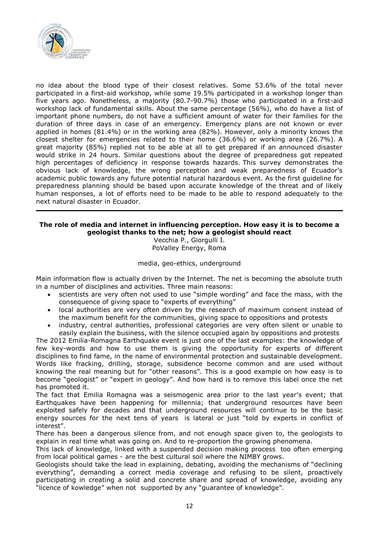

no idea about the blood type of their closest relatives. Some 53.6% of the total never participated in a first-aid workshop, while some 19.5% participated in a workshop longer than five years ago. Nonetheless, a majority (80.7-90.7%) those who participated in a first-aid workshop lack of fundamental skills. About the same percentage (56%), who do have a list of important phone numbers, do not have a sufficient amount of water for their families for the duration of three days in case of an emergency. Emergency plans are not known or ever applied in homes (81.4%) or in the working area (82%). However, only a minority knows the closest shelter for emergencies related to their home (36.6%) or working area (26.7%). A great majority (85%) replied not to be able at all to get prepared if an announced disaster would strike in 24 hours. Similar questions about the degree of preparedness got repeated high percentages of deficiency in response towards hazards. This survey demonstrates the obvious lack of knowledge, the wrong perception and weak preparedness of Ecuador's academic public towards any future potential natural hazardous event. As the first guideline for preparedness planning should be based upon accurate knowledge of the threat and of likely human responses, a lot of efforts need to be made to be able to respond adequately to the next natural disaster in Ecuador.

## **The role of media and internet in influencing perception. How easy it is to become a geologist thanks to the net; how a geologist should react**

Vecchia P., Giorgulli I. PoValley Energy, Roma

#### media, geo-ethics, underground

Main information flow is actually driven by the Internet. The net is becoming the absolute truth in a number of disciplines and activities. Three main reasons:

- scientists are very often not used to use "simple wording" and face the mass, with the consequence of giving space to "experts of everything"
- local authorities are very often driven by the research of maximum consent instead of the maximum benefit for the communities, giving space to oppositions and protests
- industry, central authorities, professional categories are very often silent or unable to easily explain the business, with the silence occupied again by oppositions and protests

The 2012 Emilia-Romagna Earthquake event is just one of the last examples: the knowledge of few key-words and how to use them is giving the opportunity for experts of different disciplines to find fame, in the name of environmental protection and sustainable development. Words like fracking, drilling, storage, subsidence become common and are used without knowing the real meaning but for "other reasons". This is a good example on how easy is to become "geologist" or "expert in geology". And how hard is to remove this label once the net has promoted it.

The fact that Emilia Romagna was a seismogenic area prior to the last year's event; that Earthquakes have been happening for millennia; that underground resources have been exploited safely for decades and that underground resources will continue to be the basic energy sources for the next tens of years is lateral or just "told by experts in conflict of interest".

There has been a dangerous silence from, and not enough space given to, the geologists to explain in real time what was going on. And to re-proportion the growing phenomena.

This lack of knowledge, linked with a suspended decision making process too often emerging from local political games - are the best cultural soil where the NIMBY grows.

Geologists should take the lead in explaining, debating, avoiding the mechanisms of "declining everything", demanding a correct media coverage and refusing to be silent, proactively participating in creating a solid and concrete share and spread of knowledge, avoiding any "licence of kowledge" when not supported by any "guarantee of knowledge".